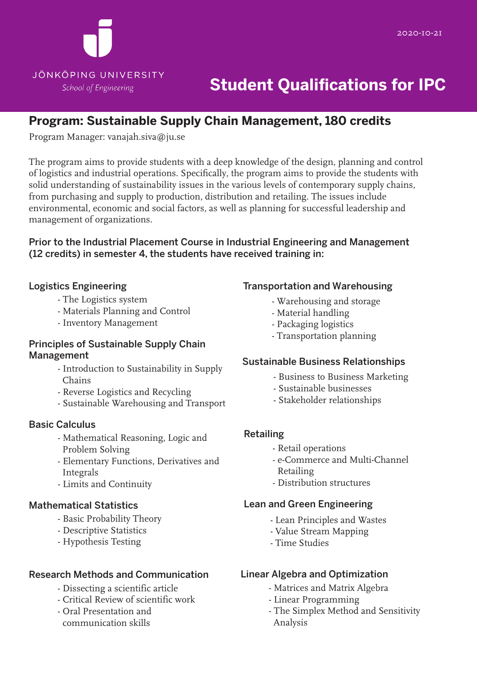

# **Student Qualifications for IPC**

# **Program: Sustainable Supply Chain Management, 180 credits**

Program Manager: vanajah.siva@ju.se

The program aims to provide students with a deep knowledge of the design, planning and control of logistics and industrial operations. Specifically, the program aims to provide the students with solid understanding of sustainability issues in the various levels of contemporary supply chains, from purchasing and supply to production, distribution and retailing. The issues include environmental, economic and social factors, as well as planning for successful leadership and management of organizations.

#### Prior to the Industrial Placement Course in Industrial Engineering and Management (12 credits) in semester 4, the students have received training in:

#### Logistics Engineering

- The Logistics system
- Materials Planning and Control
- Inventory Management

#### Principles of Sustainable Supply Chain Management

- Introduction to Sustainability in Supply Chains
- Reverse Logistics and Recycling
- Sustainable Warehousing and Transport

#### Basic Calculus

- Mathematical Reasoning, Logic and Problem Solving
- Elementary Functions, Derivatives and Integrals
- Limits and Continuity

#### Mathematical Statistics

- Basic Probability Theory
- Descriptive Statistics
- Hypothesis Testing

#### Research Methods and Communication

- Dissecting a scientific article
- Critical Review of scientific work
- Oral Presentation and communication skills

#### Transportation and Warehousing

- Warehousing and storage
- Material handling
- Packaging logistics
- Transportation planning

#### Sustainable Business Relationships

- Business to Business Marketing
- Sustainable businesses
- Stakeholder relationships

#### Retailing

- Retail operations
- e-Commerce and Multi-Channel Retailing
- Distribution structures

#### Lean and Green Engineering

- Lean Principles and Wastes
- Value Stream Mapping
- Time Studies

#### Linear Algebra and Optimization

- Matrices and Matrix Algebra
- Linear Programming
- The Simplex Method and Sensitivity Analysis